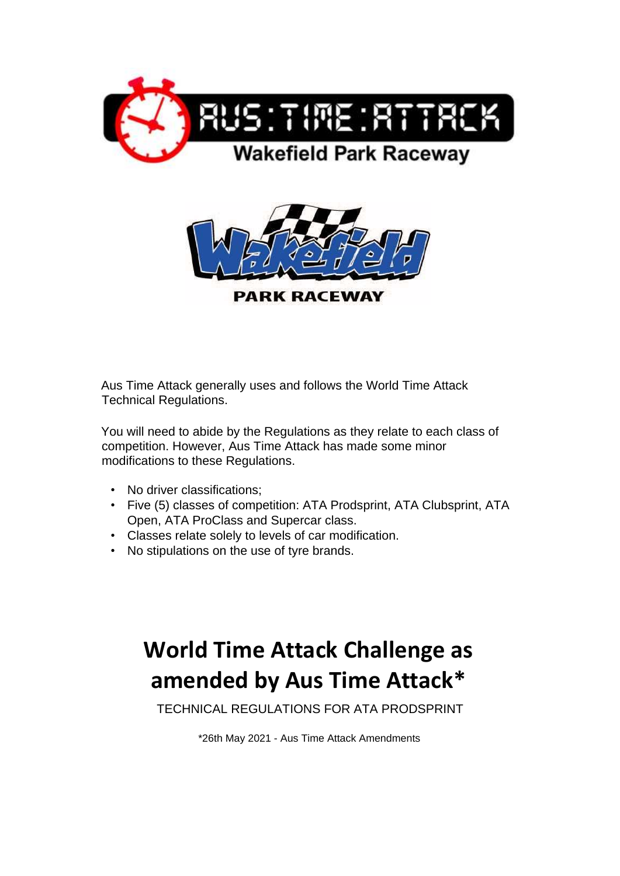



Aus Time Attack generally uses and follows the World Time Attack Technical Regulations.

You will need to abide by the Regulations as they relate to each class of competition. However, Aus Time Attack has made some minor modifications to these Regulations.

- No driver classifications;
- Five (5) classes of competition: ATA Prodsprint, ATA Clubsprint, ATA Open, ATA ProClass and Supercar class.
- Classes relate solely to levels of car modification.
- No stipulations on the use of tyre brands.

# **World Time Attack Challenge as amended by Aus Time Attack\***

TECHNICAL REGULATIONS FOR ATA PRODSPRINT

\*26th May 2021 - Aus Time Attack Amendments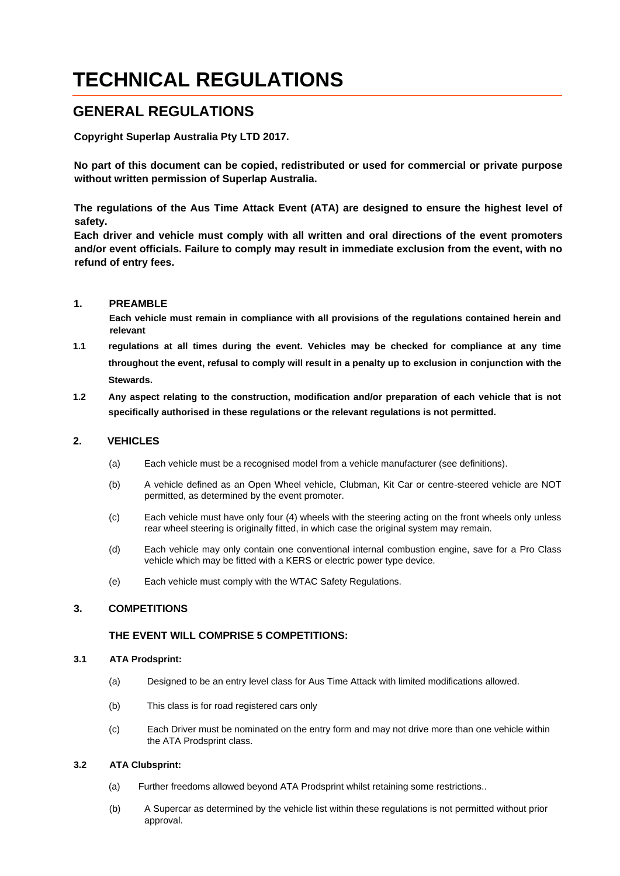## **TECHNICAL REGULATIONS**

## **GENERAL REGULATIONS**

**Copyright Superlap Australia Pty LTD 2017.** 

**No part of this document can be copied, redistributed or used for commercial or private purpose without written permission of Superlap Australia.** 

**The regulations of the Aus Time Attack Event (ATA) are designed to ensure the highest level of safety.** 

**Each driver and vehicle must comply with all written and oral directions of the event promoters and/or event officials. Failure to comply may result in immediate exclusion from the event, with no refund of entry fees.** 

#### **1. PREAMBLE**

**Each vehicle must remain in compliance with all provisions of the regulations contained herein and relevant** 

- **1.1 regulations at all times during the event. Vehicles may be checked for compliance at any time throughout the event, refusal to comply will result in a penalty up to exclusion in conjunction with the Stewards.**
- **1.2 Any aspect relating to the construction, modification and/or preparation of each vehicle that is not specifically authorised in these regulations or the relevant regulations is not permitted.**

#### **2. VEHICLES**

- (a) Each vehicle must be a recognised model from a vehicle manufacturer (see definitions).
- (b) A vehicle defined as an Open Wheel vehicle, Clubman, Kit Car or centre-steered vehicle are NOT permitted, as determined by the event promoter.
- (c) Each vehicle must have only four (4) wheels with the steering acting on the front wheels only unless rear wheel steering is originally fitted, in which case the original system may remain.
- (d) Each vehicle may only contain one conventional internal combustion engine, save for a Pro Class vehicle which may be fitted with a KERS or electric power type device.
- (e) Each vehicle must comply with the WTAC Safety Regulations.

#### **3. COMPETITIONS**

#### **THE EVENT WILL COMPRISE 5 COMPETITIONS:**

#### **3.1 ATA Prodsprint:**

- (a) Designed to be an entry level class for Aus Time Attack with limited modifications allowed.
- (b) This class is for road registered cars only
- (c) Each Driver must be nominated on the entry form and may not drive more than one vehicle within the ATA Prodsprint class.

#### **3.2 ATA Clubsprint:**

- (a) Further freedoms allowed beyond ATA Prodsprint whilst retaining some restrictions..
- (b) A Supercar as determined by the vehicle list within these regulations is not permitted without prior approval.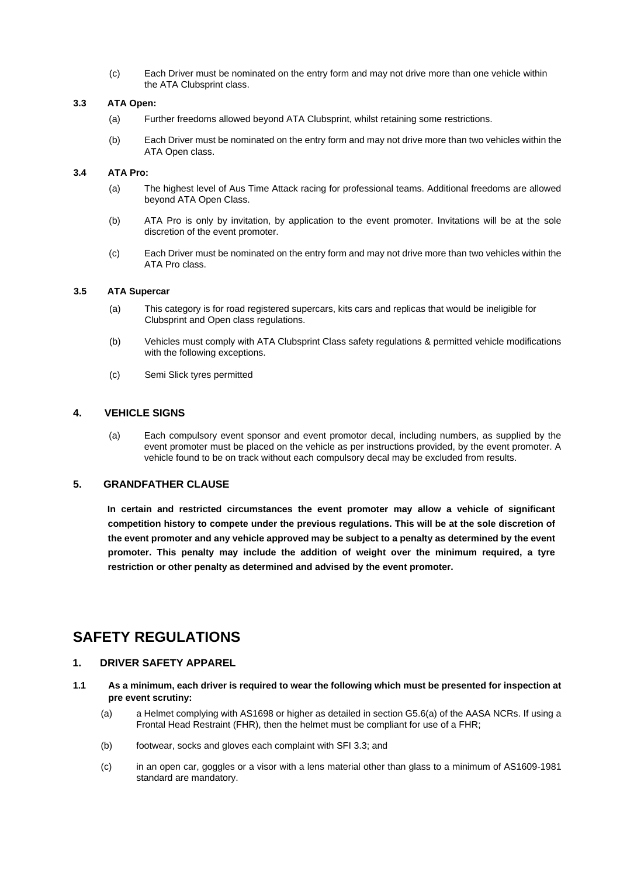(c) Each Driver must be nominated on the entry form and may not drive more than one vehicle within the ATA Clubsprint class.

#### **3.3 ATA Open:**

- (a) Further freedoms allowed beyond ATA Clubsprint, whilst retaining some restrictions.
- (b) Each Driver must be nominated on the entry form and may not drive more than two vehicles within the ATA Open class.

#### **3.4 ATA Pro:**

- (a) The highest level of Aus Time Attack racing for professional teams. Additional freedoms are allowed beyond ATA Open Class.
- (b) ATA Pro is only by invitation, by application to the event promoter. Invitations will be at the sole discretion of the event promoter.
- (c) Each Driver must be nominated on the entry form and may not drive more than two vehicles within the ATA Pro class.

#### **3.5 ATA Supercar**

- (a) This category is for road registered supercars, kits cars and replicas that would be ineligible for Clubsprint and Open class regulations.
- (b) Vehicles must comply with ATA Clubsprint Class safety regulations & permitted vehicle modifications with the following exceptions.
- (c) Semi Slick tyres permitted

#### **4. VEHICLE SIGNS**

(a) Each compulsory event sponsor and event promotor decal, including numbers, as supplied by the event promoter must be placed on the vehicle as per instructions provided, by the event promoter. A vehicle found to be on track without each compulsory decal may be excluded from results.

#### **5. GRANDFATHER CLAUSE**

**In certain and restricted circumstances the event promoter may allow a vehicle of significant competition history to compete under the previous regulations. This will be at the sole discretion of the event promoter and any vehicle approved may be subject to a penalty as determined by the event promoter. This penalty may include the addition of weight over the minimum required, a tyre restriction or other penalty as determined and advised by the event promoter.**

## **SAFETY REGULATIONS**

#### **1. DRIVER SAFETY APPAREL**

- **1.1 As a minimum, each driver is required to wear the following which must be presented for inspection at pre event scrutiny:**
	- (a) a Helmet complying with AS1698 or higher as detailed in section G5.6(a) of the AASA NCRs. If using a Frontal Head Restraint (FHR), then the helmet must be compliant for use of a FHR;
	- (b) footwear, socks and gloves each complaint with SFI 3.3; and
	- (c) in an open car, goggles or a visor with a lens material other than glass to a minimum of AS1609-1981 standard are mandatory.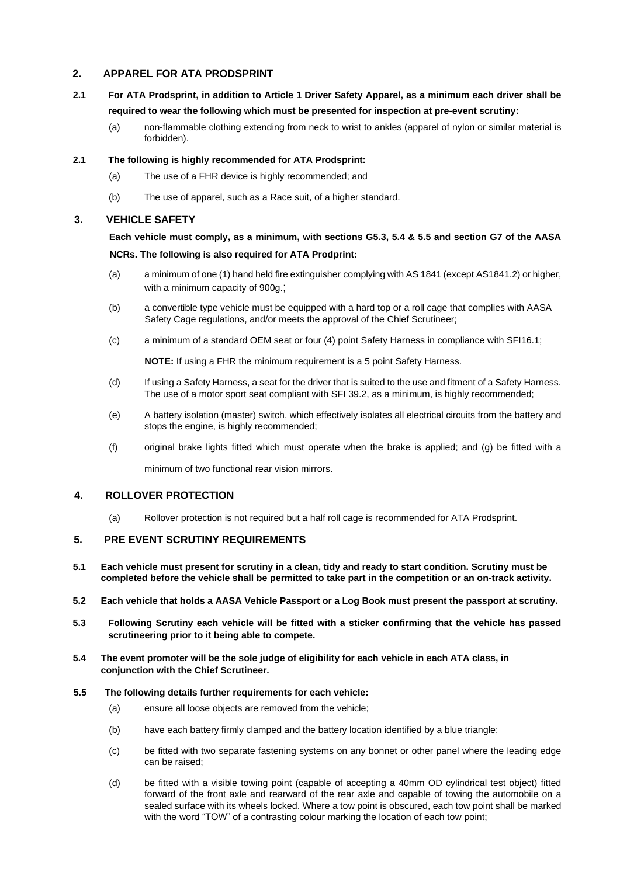#### **2. APPAREL FOR ATA PRODSPRINT**

- **2.1 For ATA Prodsprint, in addition to Article 1 Driver Safety Apparel, as a minimum each driver shall be required to wear the following which must be presented for inspection at pre-event scrutiny:** 
	- (a) non-flammable clothing extending from neck to wrist to ankles (apparel of nylon or similar material is forbidden).

#### **2.1 The following is highly recommended for ATA Prodsprint:**

- (a) The use of a FHR device is highly recommended; and
- (b) The use of apparel, such as a Race suit, of a higher standard.

#### **3. VEHICLE SAFETY**

### **Each vehicle must comply, as a minimum, with sections G5.3, 5.4 & 5.5 and section G7 of the AASA NCRs. The following is also required for ATA Prodprint:**

## (a) a minimum of one (1) hand held fire extinguisher complying with AS 1841 (except AS1841.2) or higher,

with a minimum capacity of 900g.;

- (b) a convertible type vehicle must be equipped with a hard top or a roll cage that complies with AASA Safety Cage regulations, and/or meets the approval of the Chief Scrutineer;
- (c) a minimum of a standard OEM seat or four (4) point Safety Harness in compliance with SFI16.1;

**NOTE:** If using a FHR the minimum requirement is a 5 point Safety Harness.

- (d) If using a Safety Harness, a seat for the driver that is suited to the use and fitment of a Safety Harness. The use of a motor sport seat compliant with SFI 39.2, as a minimum, is highly recommended;
- (e) A battery isolation (master) switch, which effectively isolates all electrical circuits from the battery and stops the engine, is highly recommended;
- (f) original brake lights fitted which must operate when the brake is applied; and (g) be fitted with a

minimum of two functional rear vision mirrors.

#### **4. ROLLOVER PROTECTION**

(a) Rollover protection is not required but a half roll cage is recommended for ATA Prodsprint.

#### **5. PRE EVENT SCRUTINY REQUIREMENTS**

- **5.1 Each vehicle must present for scrutiny in a clean, tidy and ready to start condition. Scrutiny must be completed before the vehicle shall be permitted to take part in the competition or an on-track activity.**
- **5.2 Each vehicle that holds a AASA Vehicle Passport or a Log Book must present the passport at scrutiny.**
- **5.3 Following Scrutiny each vehicle will be fitted with a sticker confirming that the vehicle has passed scrutineering prior to it being able to compete.**
- **5.4 The event promoter will be the sole judge of eligibility for each vehicle in each ATA class, in conjunction with the Chief Scrutineer.**

#### **5.5 The following details further requirements for each vehicle:**

- (a) ensure all loose objects are removed from the vehicle;
- (b) have each battery firmly clamped and the battery location identified by a blue triangle;
- (c) be fitted with two separate fastening systems on any bonnet or other panel where the leading edge can be raised;
- (d) be fitted with a visible towing point (capable of accepting a 40mm OD cylindrical test object) fitted forward of the front axle and rearward of the rear axle and capable of towing the automobile on a sealed surface with its wheels locked. Where a tow point is obscured, each tow point shall be marked with the word "TOW" of a contrasting colour marking the location of each tow point;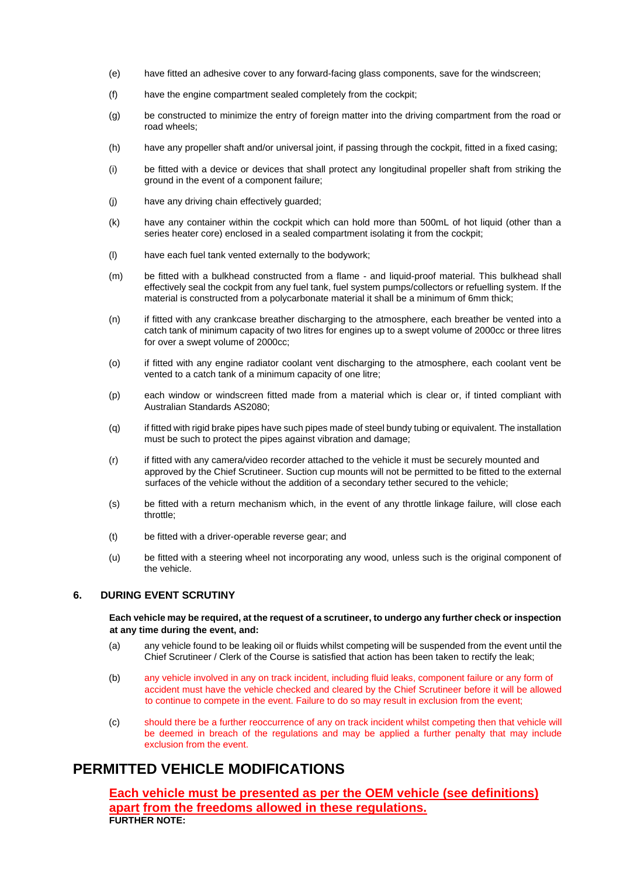- (e) have fitted an adhesive cover to any forward-facing glass components, save for the windscreen;
- (f) have the engine compartment sealed completely from the cockpit;
- (g) be constructed to minimize the entry of foreign matter into the driving compartment from the road or road wheels;
- (h) have any propeller shaft and/or universal joint, if passing through the cockpit, fitted in a fixed casing;
- (i) be fitted with a device or devices that shall protect any longitudinal propeller shaft from striking the ground in the event of a component failure;
- (j) have any driving chain effectively guarded;
- (k) have any container within the cockpit which can hold more than 500mL of hot liquid (other than a series heater core) enclosed in a sealed compartment isolating it from the cockpit;
- (l) have each fuel tank vented externally to the bodywork;
- (m) be fitted with a bulkhead constructed from a flame and liquid-proof material. This bulkhead shall effectively seal the cockpit from any fuel tank, fuel system pumps/collectors or refuelling system. If the material is constructed from a polycarbonate material it shall be a minimum of 6mm thick;
- (n) if fitted with any crankcase breather discharging to the atmosphere, each breather be vented into a catch tank of minimum capacity of two litres for engines up to a swept volume of 2000cc or three litres for over a swept volume of 2000cc;
- (o) if fitted with any engine radiator coolant vent discharging to the atmosphere, each coolant vent be vented to a catch tank of a minimum capacity of one litre;
- (p) each window or windscreen fitted made from a material which is clear or, if tinted compliant with Australian Standards AS2080;
- (q) if fitted with rigid brake pipes have such pipes made of steel bundy tubing or equivalent. The installation must be such to protect the pipes against vibration and damage;
- (r) if fitted with any camera/video recorder attached to the vehicle it must be securely mounted and approved by the Chief Scrutineer. Suction cup mounts will not be permitted to be fitted to the external surfaces of the vehicle without the addition of a secondary tether secured to the vehicle;
- (s) be fitted with a return mechanism which, in the event of any throttle linkage failure, will close each throttle;
- (t) be fitted with a driver-operable reverse gear; and
- (u) be fitted with a steering wheel not incorporating any wood, unless such is the original component of the vehicle.

#### **6. DURING EVENT SCRUTINY**

#### **Each vehicle may be required, at the request of a scrutineer, to undergo any further check or inspection at any time during the event, and:**

- (a) any vehicle found to be leaking oil or fluids whilst competing will be suspended from the event until the Chief Scrutineer / Clerk of the Course is satisfied that action has been taken to rectify the leak;
- (b) any vehicle involved in any on track incident, including fluid leaks, component failure or any form of accident must have the vehicle checked and cleared by the Chief Scrutineer before it will be allowed to continue to compete in the event. Failure to do so may result in exclusion from the event;
- (c) should there be a further reoccurrence of any on track incident whilst competing then that vehicle will be deemed in breach of the regulations and may be applied a further penalty that may include exclusion from the event.

## **PERMITTED VEHICLE MODIFICATIONS**

**Each vehicle must be presented as per the OEM vehicle (see definitions) apart from the freedoms allowed in these regulations. FURTHER NOTE:**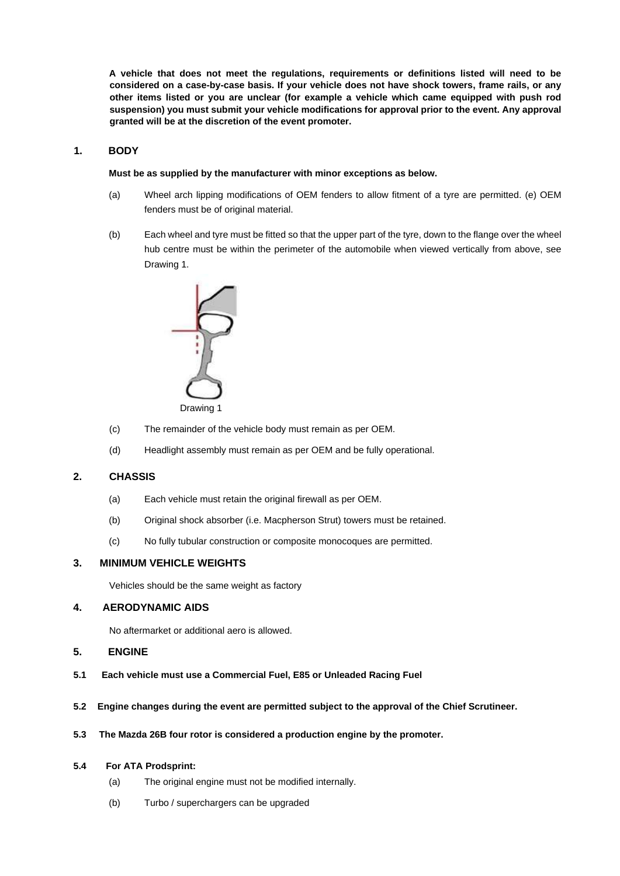**A vehicle that does not meet the regulations, requirements or definitions listed will need to be considered on a case-by-case basis. If your vehicle does not have shock towers, frame rails, or any other items listed or you are unclear (for example a vehicle which came equipped with push rod suspension) you must submit your vehicle modifications for approval prior to the event. Any approval granted will be at the discretion of the event promoter.** 

#### **1. BODY**

#### **Must be as supplied by the manufacturer with minor exceptions as below.**

- (a) Wheel arch lipping modifications of OEM fenders to allow fitment of a tyre are permitted. (e) OEM fenders must be of original material.
- (b) Each wheel and tyre must be fitted so that the upper part of the tyre, down to the flange over the wheel hub centre must be within the perimeter of the automobile when viewed vertically from above, see Drawing 1.



- (c) The remainder of the vehicle body must remain as per OEM.
- (d) Headlight assembly must remain as per OEM and be fully operational.

#### **2. CHASSIS**

- (a) Each vehicle must retain the original firewall as per OEM.
- (b) Original shock absorber (i.e. Macpherson Strut) towers must be retained.
- (c) No fully tubular construction or composite monocoques are permitted.

#### **3. MINIMUM VEHICLE WEIGHTS**

Vehicles should be the same weight as factory

#### **4. AERODYNAMIC AIDS**

No aftermarket or additional aero is allowed.

#### **5. ENGINE**

- **5.1 Each vehicle must use a Commercial Fuel, E85 or Unleaded Racing Fuel**
- **5.2 Engine changes during the event are permitted subject to the approval of the Chief Scrutineer.**
- **5.3 The Mazda 26B four rotor is considered a production engine by the promoter.**

#### **5.4 For ATA Prodsprint:**

- (a) The original engine must not be modified internally.
- (b) Turbo / superchargers can be upgraded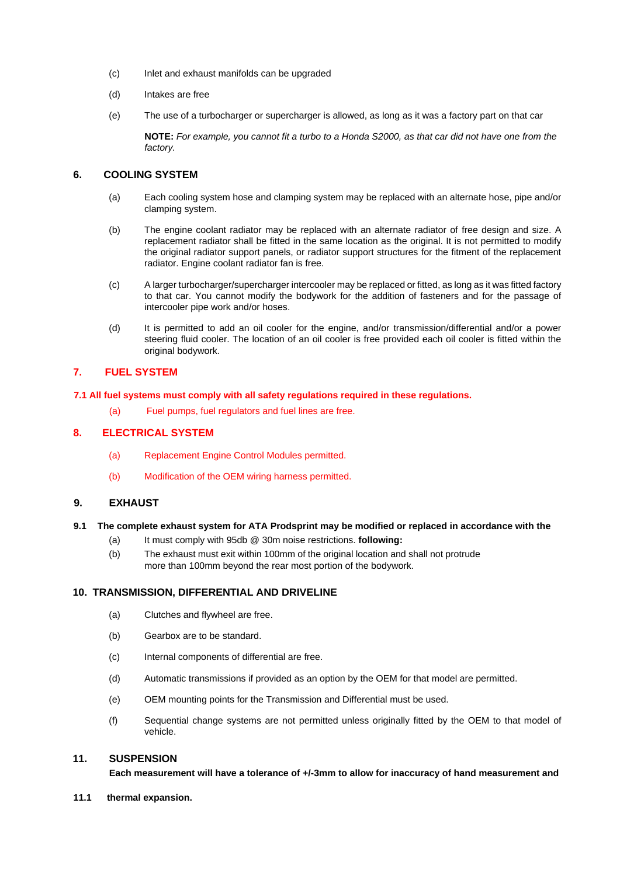- (c) Inlet and exhaust manifolds can be upgraded
- (d) Intakes are free
- (e) The use of a turbocharger or supercharger is allowed, as long as it was a factory part on that car

**NOTE:** *For example, you cannot fit a turbo to a Honda S2000, as that car did not have one from the factory.*

#### **6. COOLING SYSTEM**

- (a) Each cooling system hose and clamping system may be replaced with an alternate hose, pipe and/or clamping system.
- (b) The engine coolant radiator may be replaced with an alternate radiator of free design and size. A replacement radiator shall be fitted in the same location as the original. It is not permitted to modify the original radiator support panels, or radiator support structures for the fitment of the replacement radiator. Engine coolant radiator fan is free.
- (c) A larger turbocharger/supercharger intercooler may be replaced or fitted, as long as it was fitted factory to that car. You cannot modify the bodywork for the addition of fasteners and for the passage of intercooler pipe work and/or hoses.
- (d) It is permitted to add an oil cooler for the engine, and/or transmission/differential and/or a power steering fluid cooler. The location of an oil cooler is free provided each oil cooler is fitted within the original bodywork.

#### **7. FUEL SYSTEM**

#### **7.1 All fuel systems must comply with all safety regulations required in these regulations.**

(a) Fuel pumps, fuel regulators and fuel lines are free.

#### **8. ELECTRICAL SYSTEM**

- (a) Replacement Engine Control Modules permitted.
- (b) Modification of the OEM wiring harness permitted.

#### **9. EXHAUST**

#### **9.1 The complete exhaust system for ATA Prodsprint may be modified or replaced in accordance with the**

- (a) It must comply with 95db @ 30m noise restrictions. **following:**
- (b) The exhaust must exit within 100mm of the original location and shall not protrude more than 100mm beyond the rear most portion of the bodywork.

#### **10. TRANSMISSION, DIFFERENTIAL AND DRIVELINE**

- (a) Clutches and flywheel are free.
- (b) Gearbox are to be standard.
- (c) Internal components of differential are free.
- (d) Automatic transmissions if provided as an option by the OEM for that model are permitted.
- (e) OEM mounting points for the Transmission and Differential must be used.
- (f) Sequential change systems are not permitted unless originally fitted by the OEM to that model of vehicle.

#### **11. SUSPENSION**

**Each measurement will have a tolerance of +/-3mm to allow for inaccuracy of hand measurement and** 

**11.1 thermal expansion.**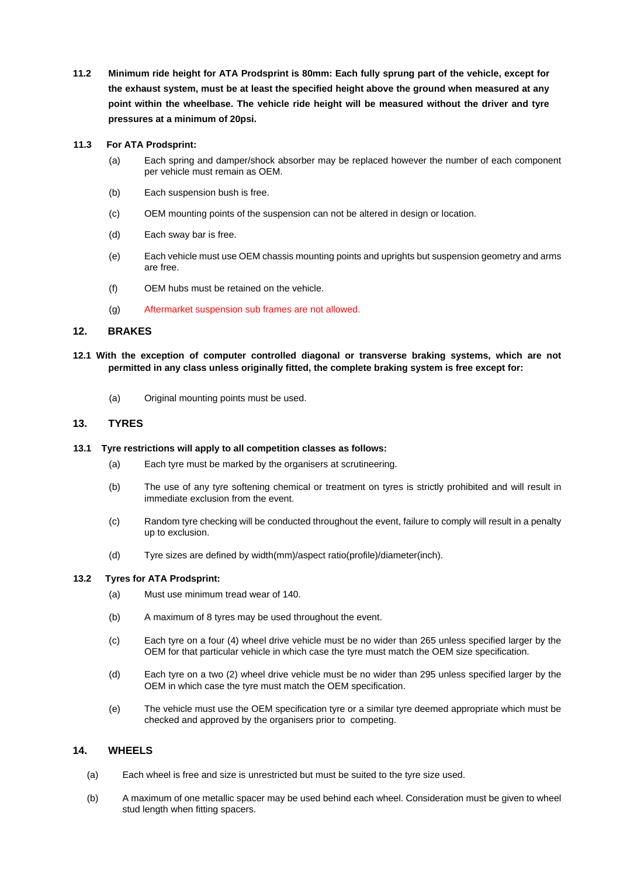**11.2 Minimum ride height for ATA Prodsprint is 80mm: Each fully sprung part of the vehicle, except for the exhaust system, must be at least the specified height above the ground when measured at any point within the wheelbase. The vehicle ride height will be measured without the driver and tyre pressures at a minimum of 20psi.** 

#### **11.3 For ATA Prodsprint:**

- (a) Each spring and damper/shock absorber may be replaced however the number of each component per vehicle must remain as OEM.
- (b) Each suspension bush is free.
- (c) OEM mounting points of the suspension can not be altered in design or location.
- (d) Each sway bar is free.
- (e) Each vehicle must use OEM chassis mounting points and uprights but suspension geometry and arms are free.
- (f) OEM hubs must be retained on the vehicle.
- (g) Aftermarket suspension sub frames are not allowed.

#### **12. BRAKES**

- **12.1 With the exception of computer controlled diagonal or transverse braking systems, which are not permitted in any class unless originally fitted, the complete braking system is free except for:** 
	- (a) Original mounting points must be used.

#### **13. TYRES**

#### **13.1 Tyre restrictions will apply to all competition classes as follows:**

- (a) Each tyre must be marked by the organisers at scrutineering.
- (b) The use of any tyre softening chemical or treatment on tyres is strictly prohibited and will result in immediate exclusion from the event.
- (c) Random tyre checking will be conducted throughout the event, failure to comply will result in a penalty up to exclusion.
- (d) Tyre sizes are defined by width(mm)/aspect ratio(profile)/diameter(inch).

#### **13.2 Tyres for ATA Prodsprint:**

- (a) Must use minimum tread wear of 140.
- (b) A maximum of 8 tyres may be used throughout the event.
- (c) Each tyre on a four (4) wheel drive vehicle must be no wider than 265 unless specified larger by the OEM for that particular vehicle in which case the tyre must match the OEM size specification.
- (d) Each tyre on a two (2) wheel drive vehicle must be no wider than 295 unless specified larger by the OEM in which case the tyre must match the OEM specification.
- (e) The vehicle must use the OEM specification tyre or a similar tyre deemed appropriate which must be checked and approved by the organisers prior to competing.

#### **14. WHEELS**

- (a) Each wheel is free and size is unrestricted but must be suited to the tyre size used.
- (b) A maximum of one metallic spacer may be used behind each wheel. Consideration must be given to wheel stud length when fitting spacers.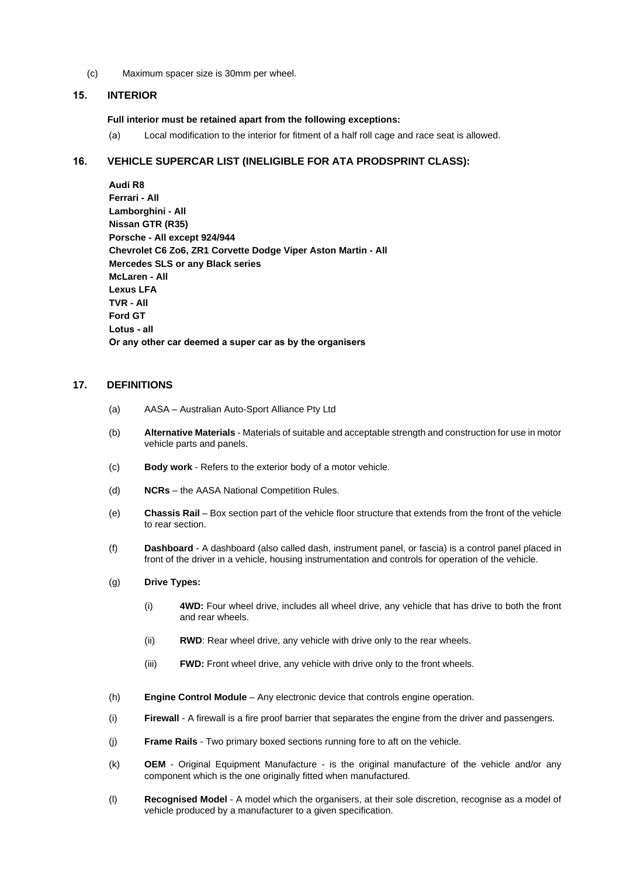(c) Maximum spacer size is 30mm per wheel.

#### **15. INTERIOR**

#### **Full interior must be retained apart from the following exceptions:**

(a) Local modification to the interior for fitment of a half roll cage and race seat is allowed.

#### **16. VEHICLE SUPERCAR LIST (INELIGIBLE FOR ATA PRODSPRINT CLASS):**

**Audi R8 Ferrari - All Lamborghini - All Nissan GTR (R35) Porsche - All except 924/944 Chevrolet C6 Zo6, ZR1 Corvette Dodge Viper Aston Martin - All Mercedes SLS or any Black series McLaren - All Lexus LFA TVR - All Ford GT Lotus - all Or any other car deemed a super car as by the organisers**

#### **17. DEFINITIONS**

- (a) AASA Australian Auto-Sport Alliance Pty Ltd
- (b) **Alternative Materials**  Materials of suitable and acceptable strength and construction for use in motor vehicle parts and panels.
- (c) **Body work**  Refers to the exterior body of a motor vehicle.
- (d) **NCRs**  the AASA National Competition Rules.
- (e) **Chassis Rail**  Box section part of the vehicle floor structure that extends from the front of the vehicle to rear section.
- (f) **Dashboard**  A dashboard (also called dash, instrument panel, or fascia) is a control panel placed in front of the driver in a vehicle, housing instrumentation and controls for operation of the vehicle.

#### (g) **Drive Types:**

- (i) **4WD:** Four wheel drive, includes all wheel drive, any vehicle that has drive to both the front and rear wheels.
- (ii) **RWD**: Rear wheel drive, any vehicle with drive only to the rear wheels.
- (iii) **FWD:** Front wheel drive, any vehicle with drive only to the front wheels.
- (h) **Engine Control Module**  Any electronic device that controls engine operation.
- (i) **Firewall**  A firewall is a fire proof barrier that separates the engine from the driver and passengers.
- (j) **Frame Rails**  Two primary boxed sections running fore to aft on the vehicle.
- (k) **OEM**  Original Equipment Manufacture is the original manufacture of the vehicle and/or any component which is the one originally fitted when manufactured.
- (l) **Recognised Model**  A model which the organisers, at their sole discretion, recognise as a model of vehicle produced by a manufacturer to a given specification.